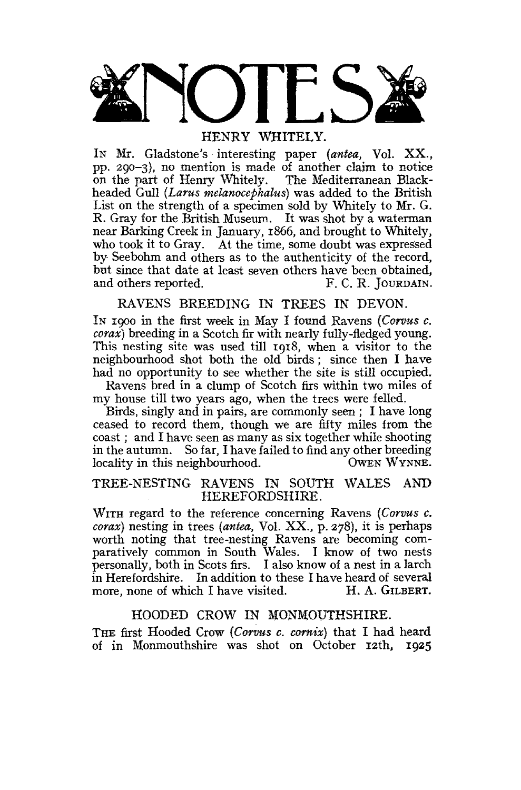

IN Mr. Gladstone's interesting paper (antea, Vol. XX., pp. 290-3), no mention is made of another claim to notice on the part of Henry Whitely. The Mediterranean Blackheaded Gull (Larus melanocephalus) was added to the British List on the strength of a specimen sold by Whitely to Mr. G. R. Gray for the British Museum. It was shot by a waterman near Barking Creek in January, 1866, and brought to Whitely, who took it to Gray. At the time, some doubt was expressed by Seebohm and others as to the authenticity of the record, but since that date at least seven others have been obtained,<br>and others reported. F. C. R. JOURDAIN. and others reported.

# RAVENS BREEDING IN TREES IN DEVON.

In 1900 in the first week in May I found Ravens (Corvus  $c$ . *corax*) breeding in a Scotch fir with nearly fully-fiedged young. This nesting site was used till 1918, when a visitor to the neighbourhood shot both the old birds; since then I have had no opportunity to see whether the site is still occupied.

Ravens bred in a clump of Scotch firs within two miles of my house till two years ago, when the trees were felled.

Birds, singly and in pairs, are commonly seen; I have long ceased to record them, though we are fifty miles from the coast; and I have seen as many as six together while shooting coast; and I have seen as many as six together while shooting<br>in the entrumn. So fee, I have failed to find ent other broading. in the autumn. So far, I have failed to find any other breeding locality in this neighbourhood. OWEN WYNNE.

## TREE-NESTING RAVENS IN SOUTH WALES AND HEREFORDSHIRE.

WITH regard to the reference concerning Ravens *(Corvus c. corax)* nesting in trees *(antea,* Vol. XX., p. 278), it is perhaps worth noting that tree-nesting Ravens are becoming comparatively common in South Wales. I know of two nests personally, both in Scots firs. I also know of a nest in a larch in Herefordshire. In addition to these I have heard of several more, none of which I have visited. H. A. GILBERT.

## HOODED CROW IN MONMOUTHSHIRE.

THE first Hooded Crow (Corvus c. cornix) that I had heard of in Monmouthshire was shot on October 12th, 1925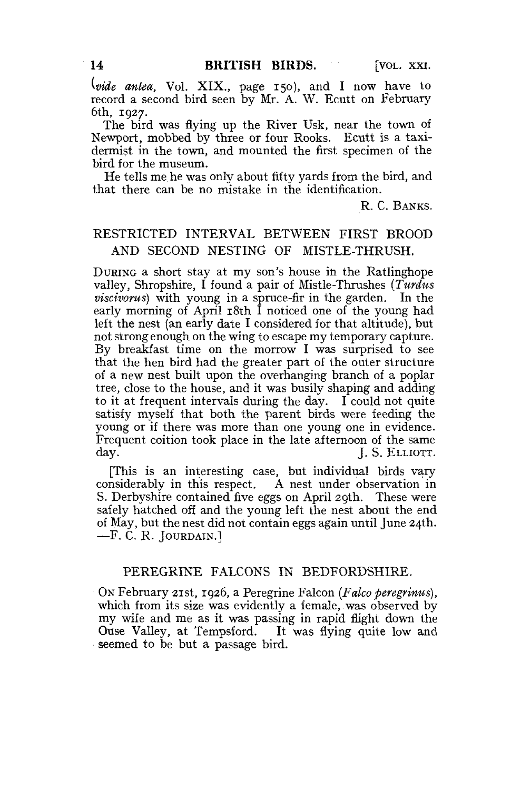*(vide antea,* Vol. XIX., page 150), and I now have to record a second bird seen by Mr. A. W. Ecutt on February 6th, 1927.

The bird was flying up the River Usk, near the town of Newport, mobbed by three or four Rooks. Ecutt is a taxidermist in the town, and mounted the first specimen of the bird for the museum.

He tells me he was only about fifty yards from the bird, and that there can be no mistake in the identification.

R. C. BANKS.

# RESTRICTED INTERVAL BETWEEN FIRST BROOD AND SECOND NESTING OF MISTLE-THRUSH.

DURING a short stay at my son's house in the Ratlinghope valley, Shropshire, I found a pair of Mistle-Thrushes *(Turdus viscivorus)* with young in a spruce-fir in the garden. In the early morning of April 18th I noticed one of the young had left the nest (an early date I considered for that altitude), but not strong enough on the wing to escape my temporary capture. By breakfast time on the morrow I was surprised to see that the hen bird had the greater part of the outer structure of a new nest built upon the overhanging branch of a poplar tree, close to the house, and it was busily shaping and adding to it at frequent intervals during the day. I could not quite satisfy myself that both the parent birds were feeding the young or if there was more than one young one in evidence. Frequent coition took place in the late afternoon of the same day. J. S. ELLIOTT.

[This is an interesting case, but individual birds vary considerably in this respect. A nest under observation in S. Derbyshire contained five eggs on April 29th. These were safely hatched off and the young left the nest about the end of May, but the nest did not contain eggs again until June 24th. —F. C. R. JOUEDAIN.]

## PEREGRINE FALCONS IN BEDFORDSHIRE.

ON February 21st, 1926, a Peregrine Falcon *(Falco peregrinus),*  which from its size was evidently a female, was observed by my wife and me as it was passing in rapid flight down the Ouse Valley, at Tempsford. It was flying quite low and seemed to be but a passage bird.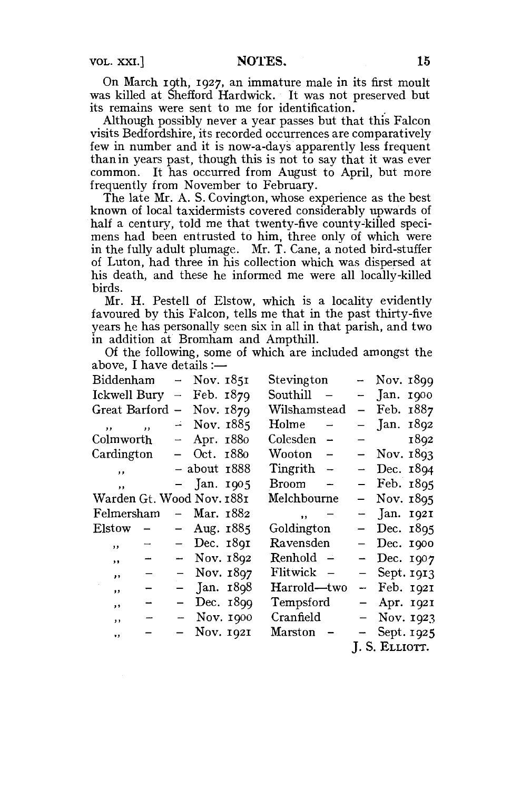VOL. XXI.] **NOTES. 15** 

On March 19th, 1927, an immature male in its first moult was killed at Shefford Hardwick. It was not preserved but its remains were sent to me for identification.

Although possibly never a year passes but that this Falcon visits Bedfordshire, its recorded occurrences are comparatively few in number and it is now-a-days apparently less frequent than in years past, though this is not to say that it was ever common. It has occurred from August to April, but more frequently from November to February.

The late Mr. A. S. Covington, whose experience as the best known of local taxidermists covered considerably upwards of half a century, told me that twenty-five county-killed specimens had been entrusted to him, three only of which were in the fully adult plumage. Mr. T. Cane, a noted bird-stuffer of Luton, had three in his collection which was dispersed at his death, and these he informed me were all locally-killed birds.

Mr. H. Pestell of Elstow, which is a locality evidently favoured by this Falcon, tells me that in the past thirty-five years he has personally seen six in all in that parish, and two in addition at Bromham and Ampthill.

Of the following, some of which are included amongst the above, I have details :—

| Biddenham                 |                         |                          | – Nov. 1851   |           | Stevington     |                          |                          | $-$ Nov. $1899$ |      |
|---------------------------|-------------------------|--------------------------|---------------|-----------|----------------|--------------------------|--------------------------|-----------------|------|
| Ickwell Bury              |                         | $\overline{\phantom{0}}$ | Feb. 1879     |           | Southill       |                          |                          | Jan. 1900       |      |
| Great Barford             |                         | $\overline{\phantom{0}}$ | Nov. 1879     |           | Wilshamstead   |                          | $\overline{\phantom{0}}$ | Feb. 1887       |      |
| $\cdot$                   | $\overline{\mathbf{z}}$ |                          | $-$ Nov. 1885 |           | Holme          | $\overline{\phantom{a}}$ |                          | Jan. 1892       |      |
| Colmworth                 |                         | $\frac{1}{2}$            | Apr. 1880     |           | Colesden –     |                          |                          |                 | 1892 |
| Cardington                |                         |                          | Oct. 1880     |           | Wooton         | $\overline{\phantom{a}}$ |                          | $-$ Nov. $1893$ |      |
| ,,                        |                         |                          | – about 1888  |           | Tingrith -     |                          |                          | Dec. 1894       |      |
| $\overline{\mathbf{z}}$   |                         |                          | - Jan. 1905   |           | Broom          |                          |                          | Feb. 1895       |      |
| Warden Gt. Wood Nov. 1881 |                         |                          |               |           | Melchbourne    |                          |                          | - Nov. 1895     |      |
| Felmersham                |                         |                          | – Mar. 1882   |           | ,,             |                          |                          | $-$ Jan. 1921   |      |
| Elstow                    | $\qquad \qquad -$       |                          | Aug. 1885     |           | Goldington     |                          |                          | Dec. 1895       |      |
| ,,                        |                         |                          | Dec. 1891     |           | Ravensden      |                          |                          | Dec. 1900       |      |
| $, \,$                    |                         |                          | Nov. 1892     |           | Renhold        |                          |                          | Dec. 1907       |      |
| ,,                        |                         |                          | - Nov. 1897   |           | Flitwick -     |                          |                          | $-$ Sept. 1913  |      |
| $\bullet$                 | ⊷                       |                          | Jan. 1898     |           | Harrold—two    |                          | $\overline{\phantom{0}}$ | Feb. 1921       |      |
| $, \,$                    |                         |                          |               | Dec. 1899 | Tempsford      |                          |                          | - Apr. 1921     |      |
| ,,                        |                         |                          | $-$ Nov. 1900 |           | Cranfield      |                          | $-$                      | Nov. 1923       |      |
| $\ddot{\phantom{0}}$      |                         |                          | - Nov. 1921   |           | Marston        |                          |                          | $-$ Sept. 1925  |      |
|                           |                         |                          |               |           | J. S. ELLIOTT. |                          |                          |                 |      |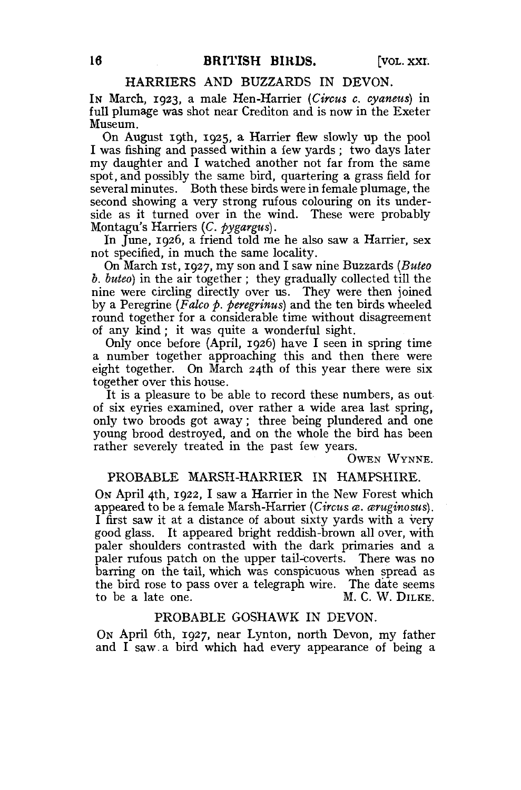#### HARRIERS AND BUZZARDS IN DEVON.

IN March, 1923, a male Hen-Harrier *{Circus c. cyaneus)* in full plumage was shot near Crediton and is now in the Exeter Museum.

On August 19th, 1925, a Harrier flew slowly up the pool I was fishing and passed within a few yards ; two days later my daughter and I watched another not far from the same spot, and possibly the same bird, quartering a grass field for several minutes. Both these birds were in female plumage, the second showing a very strong rufous colouring on its underside as it turned over in the wind. These were probably Montagu's Harriers *(C. pygargus).* 

In June, 1926, a friend told me he also saw a Harrier, sex not specified, in much the same locality.

On March 1st, 1927, my son and I saw nine Buzzards *(Buteo b. buteo)* in the air together ; they gradually collected till the nine were circling directly over us. They were then joined by a Peregrine *(Falco p. peregrinus)* and the ten birds wheeled round together for a considerable time without disagreement of any kind; it was quite a wonderful sight.

Only once before (April, 1926) have I seen in spring time a number together approaching this and then there were eight together. On March 24th of this year there were six together over this house.

It is a pleasure to be able to record these numbers, as out of six eyries examined, over rather a wide area last spring, only two broods got away; three being plundered and one young brood destroyed, and on the whole the bird has been rather severely treated in the past few years.

OWEN WYNNE.

#### PROBABLE MARSH-HARRIER IN HAMPSHIRE.

ON April 4th, 1922, I saw a Harrier in the New Forest which appeared to be a female Marsh-Harrier *(Circus a. aruginosus)*. I first saw it at a distance of about sixty yards with a very good glass. It appeared bright reddish-brown all over, with paler shoulders contrasted with the dark primaries and a paler rufous patch on the upper tail-coverts. There was no barring on the tail, which was conspicuous when spread as the bird rose to pass over a telegraph wire. The date seems to be a late one. M. C. W. DILKE.

#### PROBABLE GOSHAWK IN DEVON.

ON April 6th, 1927, near Lynton, north Devon, my father and I saw.a bird which had every appearance of being a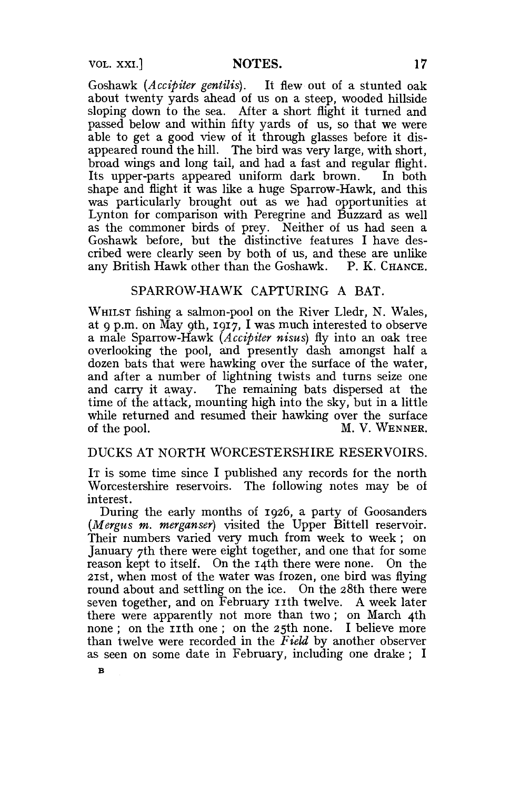Goshawk *(Accipiter gentilis).* It flew out of a stunted oak about twenty yards ahead of us on a steep, wooded hillside sloping down to the sea. After a short flight it turned and passed below and within fifty yards of us, so that we were able to get a good view of it through glasses before it disappeared round the hill. The bird was very large, with short, broad wings and long tail, and had a fast and regular flight. Its upper-parts appeared uniform dark brown. In both shape and flight it was like a huge Sparrow-Hawk, and this was particularly brought out as we had opportunities at Lynton for comparison with Peregrine and Buzzard as well as the commoner birds of prey. Neither of us had seen a Goshawk before, but the distinctive features I have described were clearly seen by both of us, and these are unlike any British Hawk other than the Goshawk. P. K. CHANCE.

### SPARROW-HAWK CAPTURING A BAT.

WHILST fishing a salmon-pool on the River Lledr, N. Wales, at 9 p.m. on May gth, 1917, I was much interested to observe a male Sparrow-Hawk *(Accipiter nisus)* fly into an oak tree overlooking the pool, and presently dash amongst half a dozen bats that were hawking over the surface of the water, and after a number of lightning twists and turns seize one and carry it away. The remaining bats dispersed at the time of the attack, mounting high into the sky, but in a little while returned and resumed their hawking over the surface of the pool. M. V. WENNER.

### DUCKS AT NORTH WORCESTERSHIRE RESERVOIRS.

IT is some time since I published any records for the north Worcestershire reservoirs. The following notes may be of interest.

During the early months of 1926, a party of Goosanders *(Mergus m. merganser)* visited the Upper Bittell reservoir. Their numbers varied very much from week to week; on January 7th there were eight together, and one that for some reason kept to itself. On the 14th there were none. On the 21st, when most of the water was frozen, one bird was flying round about and settling on the ice. On the 28th there were seven together, and on February 11th twelve. A week later there were apparently not more than two; on March 4th none; on the  $\overline{11}$ th one; on the 25th none. I believe more than twelve were recorded in the *Field* by another observer as seen on some date in February, including one drake ; I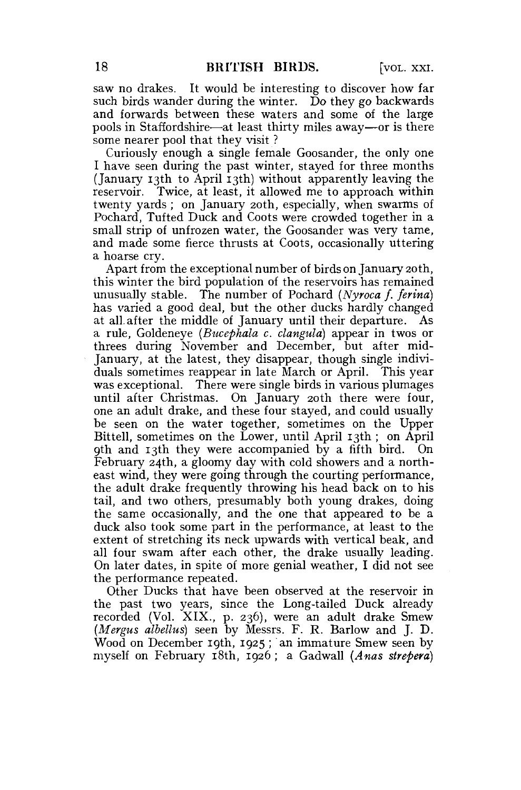saw no drakes. It would be interesting to discover how far such birds wander during the winter. Do they go backwards and forwards between these waters and some of the large pools in Staffordshire-—at least thirty miles away—or is there some nearer pool that they visit ?

Curiously enough a single female Goosander, the only one I have seen during the past winter, stayed for three months (January 13th to April 13th) without apparently leaving the reservoir. Twice, at least, it allowed me to approach within twenty yards ; on January 20th, especially, when swarms of Pochard, Tufted Duck and Coots were crowded together in a small strip of unfrozen water, the Goosander was very tame, and made some fierce thrusts at Coots, occasionally uttering a hoarse cry.

Apart from the exceptional number of birds on January 20th, this winter the bird population of the reservoirs has remained unusually stable. The number of Pochard *(Nyroca f. ferina)*  has varied a good deal, but the other ducks hardly changed at all after the middle of January until their departure. As a rule, Goldeneye *(Bucephala c. clangula)* appear in twos or threes during November and December, but after mid-January, at the latest, they disappear, though single individuals sometimes reappear in late March or April. This year was exceptional. There were single birds in various plumages until after Christmas. On January 20th there were four, one an adult drake, and these four stayed, and could usually be seen on the water together, sometimes on the Upper Bittell, sometimes on the Lower, until April 13th ; on April 9th and 13th they were accompanied by a fifth bird. On February 24th, a gloomy day with cold showers and a northeast wind, they were going through the courting performance, the adult drake frequently throwing his head back on to his tail, and two others, presumably both young drakes, doing the same occasionally, and the one that appeared to be a duck also took some part in the performance, at least to the extent of stretching its neck upwards with vertical beak, and all four swam after each other, the drake usually leading. On later dates, in spite of more genial weather, I did not see the performance repeated.

Other Ducks that have been observed at the reservoir in the past two years, since the Long-tailed Duck already recorded (Vol. XIX., p. 236), were an adult drake Smew *(Mergus albellus)* seen by Messrs. F. R. Barlow and J. D. Wood on December 19th, 1925 ; an immature Smew seen by myself on February 18th, 1926; a Gadwall *(Anas strepera)*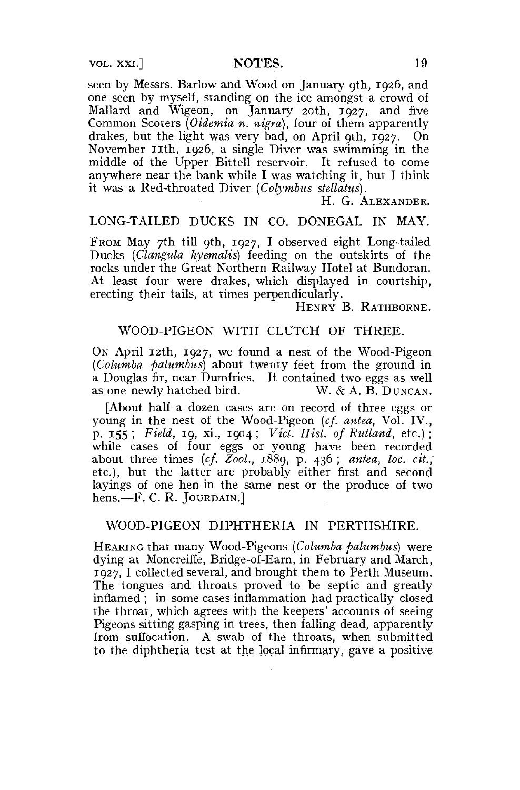seen by Messrs. Barlow and Wood on January 9th, 1926, and one seen by myself, standing on the ice amongst a crowd of Mallard and Wigeon, on January 20th, 1927, and five Common Scoters *(Oidemia n. nigra),* four of them apparently drakes, but the light was very bad, on April 9th, 1927. On November 11th, 1926, a single Diver was swimming in the middle of the Upper Bittell reservoir. It refused to come anywhere near the bank while I was watching it, but I think it was a Red-throated Diver *(Colymbus stellatus).* 

H. G. ALEXANDER.

## LONG-TAILED DUCKS IN CO. DONEGAL IN MAY.

FROM May 7th till 9th, 1927, I observed eight Long-tailed Ducks *(Clangula hyemalis)* feeding on the outskirts of the rocks under the Great Northern Railway Hotel at Bundoran. At least four were drakes, which displayed in courtship, erecting their tails, at times perpendicularly.

HENRY B. RATHBORNE.

## WOOD-PIGEON WITH CLUTCH OF THREE.

ON April 12th, 1927, we found a nest of the Wood-Pigeon *(Columba palumbus)* about twenty feet from the ground in a Douglas fir, near Dumfries. It contained two eggs as well as one newly hatched bird. W. & A. B. DUNCAN. as one newly hatched bird.

[About half a dozen cases are on record of three eggs or young in the nest of the Wood-Pigeon *(cf. antea,* Vol. IV., p. 155 ; *Field,* 19, xi., 1904 ; *Vict. Hist, of Rutland,* etc.); while cases of four eggs or young have been recorded about three times *(cf. Zool.,* 1889, p. 436 ; *antea, loc. cit.,'*  etc.), but the latter are probably either first and second layings of one hen in the same nest or the produce of two hens.—F. C. R. JOURDAIN.]

#### WOOD-PIGEON DIPHTHERIA IN PERTHSHIRE.

HEARING that many Wood-Pigeons *(Columba palumbus)* were dying at Moncreiffe, Bridge-of-Earn, in February and March, 1927, I collected several, and brought them to Perth Museum. The tongues and throats proved to be septic and greatly inflamed ; in some cases inflammation had practically closed the throat, which agrees with the keepers' accounts of seeing Pigeons sitting gasping in trees, then falling dead, apparently from suffocation. A swab of the throats, when submitted to the diphtheria test at the local infirmary, gave a positive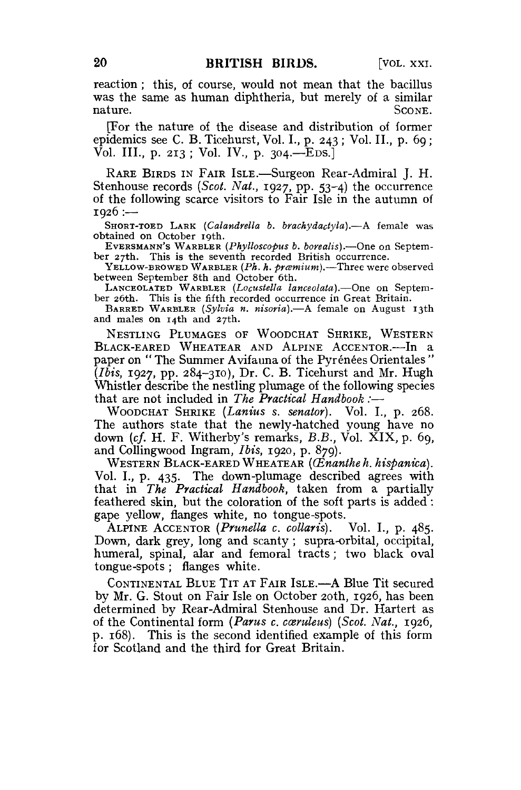reaction; this, of course, would not mean that the bacillus was the same as human diphtheria, but merely of a similar nature. SCONE.

[For the nature of the disease and distribution of former epidemics see C. B. Ticehurst, Vol. I., p. 243 ; Vol. II., p. 69; Vol. **III.,** p. 213 ; Vol. IV., p. 304.—EDS.]

RARE BIRDS IN FAIR ISLE.—Surgeon Rear-Admiral J. H. Stenhouse records *(Scot. Nat.,* 1927, pp. 53-4) the occurrence of the following scarce visitors to Fair Isle in the autumn of  $1926$  :--

SHORT-TOED LARK *(Calandrella b. brachydactyla).*—A female was obtained on October 19th.

EVERSMANN'S WARBLER *(Phylloscopus b. borealis).*—One on September 27th. This is the seventh recorded British occurrence.

YELLOW-BROWED WARBLER (Ph. h. pramium).—Three were observed between September 8th and October 6th.

LANCEOLATED WARBLER *(Locustella lanceolata).*—One on September 26th. This is the fifth recorded occurrence in Great Britain.

BARRED WARBLER *(Sylvia n. nisoria),*—A female on August 13th and males on 14th and 27th.

NESTLING PLUMAGES OF WOODCHAT SHRIKE, WESTERN BLACK-EARED WHEATEAR AND ALPINE ACCENTOR.—In a paper on "The Summer Avifauna of the Pyrénées Orientales" *(Ibis,* 1927, pp. 284-310), Dr. C. B. Ticehurst and Mr. Hugh Whistler describe the nestling plumage of the following species that are not included in *The Practical Handbook :*—

WOODCHAT SHRIKE *(Lanius s. senator).* Vol. I., p. 268. The authors state that the newly-hatched young have no down *(cf.* H. F. Witherby's remarks, *B.B.,* Vol. XIX, p. 69, and Collingwood Ingram, *Ibis,* 1920, p. 879).

WESTERN BLACK-EARED WHEATEAR *(CEnantheh. hispanica).*  Vol. I., p. 435. The down-plumage described agrees with that in *The Practical Handbook,* taken from a partially feathered skin, but the coloration of the soft parts is added: gape yellow, flanges white, no tongue-spots.

ALPINE ACCENTOR *(Prunella c. collaris).* Vol. I., p. 485. Down, dark grey, long and scanty ; supra-orbital, occipital, humeral, spinal, alar and femoral tracts; two black oval tongue-spots; flanges white.

CONTINENTAL BLUE TIT AT FAIR ISLE.—A Blue Tit secured by Mr. G. Stout on Fair Isle on October 20th, 1926, has been determined by Rear-Admiral Stenhouse and Dr. Hartert as of the Continental form *(Parus c. coemleus) (Scot. Nat.,* 1926, p. 168). This is the second identified example of this form for Scotland and the third for Great Britain.